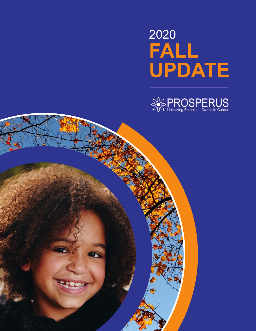# **FALL UPDATE** 2020



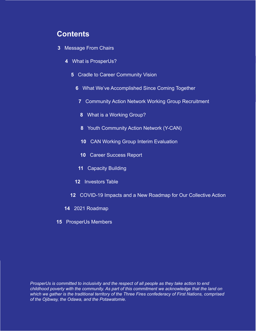### **Contents**

- [Message From Chairs](#page-2-0)
	- [What is ProsperUs?](#page-3-0)
		- [Cradle to Career Community Vision](#page-4-0)
			- [What We've Accomplished Since Coming Together](#page-5-0)
				- [Community Action Network Working Group Recruitment](#page-6-0)
				- [What is a Working Group?](#page-7-0)
				- [Youth Community Action Network \(Y-CAN\)](#page-7-0)
				- [CAN Working Group Interim Evaluation](#page-9-0)
				- [Career Success Report](#page-9-0)
				- [Capacity Building](#page-10-0)
			- [Investors Table](#page-11-0)
		- [COVID-19 Impacts and a New Roadmap for Our Collective Action](#page-11-0)
	- [2021 Roadmap](#page-13-0)
- [ProsperUs Members](#page-14-0)

*ProsperUs is committed to inclusivity and the respect of all people as they take action to end childhood poverty with the community. As part of this commitment we acknowledge that the land on which we gather is the traditional territory of the Three Fires confederacy of First Nations, comprised of the Ojibway, the Odawa, and the Potawatomie.*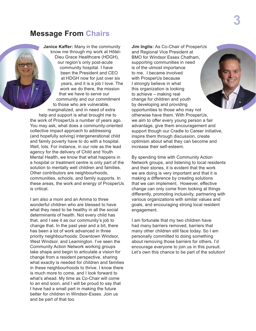### <span id="page-2-0"></span>**Message From Chairs**

**Janice Kaffer:** Many in the community know me through my work at Hôtel-Dieu Grace Healthcare (HDGH), our region's only post-acute community hospital. I have been the President and CEO at HDGH now for just over six years, and it is a job I love. The work we do there, the mission that we have to serve our community and our commitment to those who are vulnerable, marginalized, and in need of extra help and support is what brought me to

the work of ProsperUs a number of years ago. You may ask, what does a community-oriented collective impact approach to addressing (and hopefully solving) intergenerational child and family poverty have to do with a hospital. Well, lots. For instance, in our role as the lead agency for the delivery of Child and Youth Mental Health, we know that what happens in a hospital or treatment centre is only part of the solution to mentally well children and families. Other contributors are neighbourhoods, communities, schools, and family supports. In these areas, the work and energy of ProsperUs is critical.

I am also a mom and an Amma to three wonderful children who are blessed to have what they need to be healthy in all the social determinants of health. Not every child has that, and I see it as our community's job to change that. In the past year and a bit, there has been a lot of work advanced in three priority neighbourhoods: Downtown Windsor, West Windsor, and Leamington. I've seen the Community Action Network working groups take shape and begin to articulate a vision for change from a resident perspective, sharing what exactly is needed for children and families in these neighbourhoods to thrive. I know there is much more to come, and I look forward to what's ahead. My time as Co-Chair will come to an end soon, and I will be proud to say that I have had a small part in making the future better for children in Windsor-Essex. Join us and be part of that too.

**Jim Inglis:** As Co-Chair of ProsperUs and Regional Vice President at BMO for Windsor Essex Chatham, supporting communities in need is of the utmost importance to me. I became involved with ProsperUs because I strongly believe in what this organization is looking to achieve – making real change for children and youth by developing and providing opportunities to those who may not otherwise have them. With ProsperUs, we aim to offer every young person a fair advantage, give them encouragement and support though our Cradle to Career initiative, inspire them through discussion, create optimism about what they can become and increase their self-esteem.

By spending time with Community Action Network groups, and listening to local residents and their stories, it is evident that the work we are doing is very important and that it is making a difference by creating solutions that we can implement. However, effective change can only come from looking at things differently, promoting inclusivity, partnering with various organizations with similar values and goals, and encouraging strong local resident engagement.

I am fortunate that my two children have had many barriers removed, barriers that many other children still face today. So I am personally committed to doing something about removing those barriers for others. I'd encourage everyone to join us in this pursuit. Let's own this chance to be part of the solution!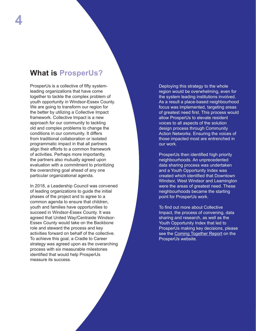## <span id="page-3-0"></span>**What is ProsperUs?**

ProsperUs is a collective of fifty systemleading organizations that have come together to tackle the complex problem of youth opportunity in Windsor-Essex County. We are going to transform our region for the better by utilizing a Collective Impact framework. Collective Impact is a new approach for our community to tackling old and complex problems to change the conditions in our community. It differs from traditional collaboration or isolated programmatic impact in that all partners align their efforts to a common framework of activities. Perhaps more importantly, the partners also mutually agreed upon evaluation with a commitment to prioritizing the overarching goal ahead of any one particular organizational agenda.

In 2018, a Leadership Council was convened of leading organizations to guide the initial phases of the project and to agree to a common agenda to ensure that children, youth and families have opportunities to succeed in Windsor-Essex County. It was agreed that United Way/Centraide Windsor-Essex County would take on the Backbone role and steward the process and key activities forward on behalf of the collective. To achieve this goal, a Cradle to Career strategy was agreed upon as the overarching process with six measurable milestones identified that would help ProsperUs measure its success.

Deploying this strategy to the whole region would be overwhelming, even for the system leading institutions involved. As a result a place-based neighbourhood focus was implemented, targeting areas of greatest need first. This process would allow ProsperUs to elevate resident voices to all aspects of the solution design process through Community Action Networks. Ensuring the voices of those impacted most are entrenched in our work.

ProsperUs then identified high priority neighbourhoods. An unprecedented data sharing process was undertaken and a Youth Opportunity Index was created which identified that Downtown Windsor, West Windsor and Leamington were the areas of greatest need. These neighbourhoods became the starting point for ProsperUs work.

To find out more about Collective Impact, the process of convening, data sharing and research, as well as the Youth Opportunity Index that led to ProsperUs making key decisions, please see the [Coming Together Report](https://weunlockpotential.com/comingtogether/) on the ProsperUs website.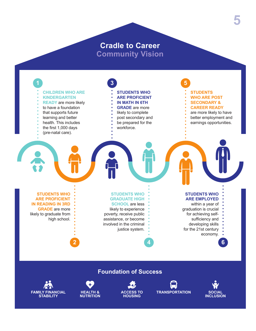## **Cradle to Career Community Vision**

<span id="page-4-0"></span>

#### **Foundation of Success**









**5**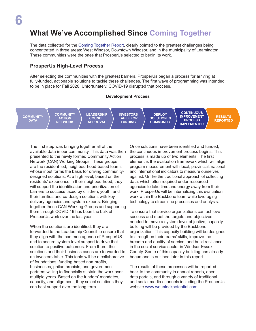## <span id="page-5-0"></span>**What We've Accomplished Since Coming Together**

The data collected for the [Coming Together Report](https://weunlockpotential.com/comingtogether/), clearly pointed to the greatest challenges being concentrated in three areas: West Windsor, Downtown Windsor, and in the municipality of Leamington. These communities were the ones that ProsperUs selected to begin its work.

#### **ProsperUs High-Level Process**

After selecting the communities with the greatest barriers, ProsperUs began a process for arriving at fully-funded, actionable solutions to tackle these challenges. The first wave of programming was intended to be in place for Fall 2020. Unfortunately, COVID-19 disrupted that process.

#### **Development Process**

**COMMUNITY DATA**

**COMMUNITY ACTION NETWORK**

**LEADERSHIP COUNCIL APPROVAL**

**INVESTORS TABLE FOR FUNDING**

**DEPLOY SOLUTION IN COMMUNITY CONTINUOUS IMPROVEMENT PROCESS IMPLEMENTED**

**RESULTS REPORTED**

The first step was bringing together all of the available data in our community. This data was then presented to the newly formed Community Action Network (CAN) Working Groups. These groups are the resident-led, neighbourhood-based teams whose input forms the basis for driving communitydesigned solutions. At a high level, based on the residents' experience in their neighbourhood, they will support the identification and prioritization of barriers to success faced by children, youth, and their families and co-design solutions with key delivery agencies and system experts. Bringing together these CAN Working Groups and supporting them through COVID-19 has been the bulk of ProsperUs work over the last year.

When the solutions are identified, they are forwarded to the Leadership Council to ensure that they align with the common agenda of ProsperUS and to secure system-level support to drive that solution to positive outcomes. From there, the solutions and their business cases are forwarded to an investors table. This table will be a collaborative of foundations, funding-based non-profits, businesses, philanthropists, and government partners willing to financially sustain the work over multiple years. Based on the funders' mandates, capacity, and alignment, they select solutions they can best support over the long term.

Once solutions have been identified and funded, the continuous improvement process begins. This process is made up of two elements. The first element is the evaluation framework which will align program measurement with local, provincial, national and international indicators to measure ourselves against. Unlike the traditional approach of collecting data, which often required under-resourced agencies to take time and energy away from their work, ProsperUs will be internalizing this evaluation work within the Backbone team while leveraging technology to streamline processes and analysis.

To ensure that service organizations can achieve success and meet the targets and objectives needed to move a system-level objective, capacity building will be provided by the Backbone organization. This capacity building will be designed to strengthen their teams' skills, improve the breadth and quality of service, and build resilience in the social service sector in Windsor-Essex County. Some of this capacity building has already begun and is outlined later in this report.

The results of these processes will be reported back to the community in annual reports, open data portals, and through a variety of traditional and social media channels including the ProsperUs website [www.weunlockpotential.com](https://weunlockpotential.com/).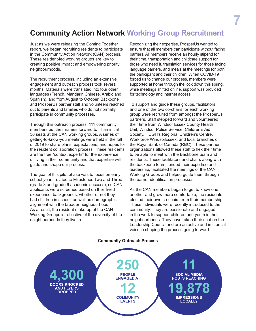# <span id="page-6-0"></span>**Community Action Network Working Group Recruitment**

Just as we were releasing the Coming Together report, we began recruiting residents to participate in the Community Action Network (CAN) process. These resident-led working groups are key to creating positive impact and empowering priority neighbourhoods.

The recruitment process, including an extensive engagement and outreach process took several months. Materials were translated into four other languages (French, Mandarin Chinese, Arabic and Spanish), and from August to October, Backbone and ProsperUs partner staff and volunteers reached out to parents and families who do not normally participate in community processes.

Through this outreach process, 111 community members put their names forward to fill an initial 36 seats at the CAN working groups. A series of getting-to-know-you meetings were held in the fall of 2019 to share plans, expectations, and hopes for the resident collaboration process. These residents are the true "context experts" for the experience of living in their community and that expertise will guide and shape our process.

The goal of this pilot phase was to focus on early school years related to Milestones Two and Three (grade 3 and grade 6 academic success), so CAN applicants were screened based on their lived experience, backgrounds, whether or not they had children in school, as well as demographic alignment with the broader neighbourhood. As a result, the resident make-up of the CAN Working Groups is reflective of the diversity of the neighbourhoods they live in.

Recognizing their expertise, ProsperUs wanted to ensure that all members can participate without facing barriers. All members receive an hourly stipend for their time, transportation and childcare support for those who need it, translation services for those facing language barriers, and meals at the meetings for both the participant and their children. When COVID-19 forced us to change our process, members were supported at home through the lock down this spring, while meetings shifted online, support was provided for technology and internet access.

To support and guide these groups, facilitators and one of the two co-chairs for each working group were recruited from amongst the ProsperUs partners. Staff stepped forward and volunteered their time from Windsor Essex County Health Unit, Windsor Police Service, Children's Aid Society, HDGH's Regional Children's Centre, Workforce WindsorEssex, and local branches of the Royal Bank of Canada (RBC). These partner organizations allowed these staff to flex their time to be able to meet with the Backbone team and residents. These facilitators and chairs along with the backbone team, lended their expertise and leadership, facilitated the meetings of the CAN Working Groups and helped guide them through the barrier identification processes.

As the CAN members began to get to know one another and grow more comfortable, the residents elected their own co-chairs from their membership. These individuals were recently introduced to the community. They are passionate and engaged in the work to support children and youth in their neighbourhoods. They have taken their seat on the Leadership Council and are an active and influential voice in shaping the process going forward.

#### **Community Outreach Process**

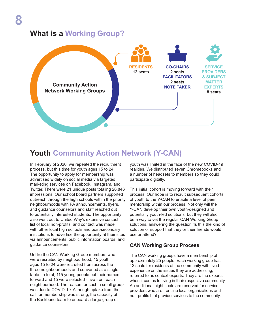## <span id="page-7-0"></span>**What is a Working Group?**



## **Youth Community Action Network (Y-CAN)**

In February of 2020, we repeated the recruitment process, but this time for youth ages 15 to 24. The opportunity to apply for membership was advertised widely on social media via targeted marketing services on Facebook, Instagram, and Twitter. There were 21 unique posts totaling 26,846 impressions. Our school board partners supported outreach through the high schools within the priority neighbourhoods with PA announcements, flyers, and guidance counselors and staff reached out to potentially interested students. The opportunity also went out to United Way's extensive contact list of local non-profits, and contact was made with other local high schools and post-secondary institutions to advertise the opportunity at their sites via announcements, public information boards, and guidance counselors.

Unlike the CAN Working Group members who were recruited by neighbourhood, 15 youth ages 15 to 24 were recruited from across the three neighbourhoods and convened at a single table. In total, 115 young people put their names forward and 15 were selected - five from each neighbourhood. The reason for such a small group was due to COVID-19. Although uptake from the call for membership was strong, the capacity of the Backbone team to onboard a large group of

youth was limited in the face of the new COVID-19 realities. We distributed seven Chromebooks and a number of headsets to members so they could participate digitally.

This initial cohort is moving forward with their process. Our hope is to recruit subsequent cohorts of youth to the Y-CAN to enable a level of peer mentorship within our process. Not only will the Y-CAN develop their own youth-designed and potentially youth-led solutions, but they will also be a way to vet the regular CAN Working Group solutions, answering the question 'Is this the kind of solution or support that they or their friends would use or attend?'

#### **CAN Working Group Process**

The CAN working groups have a membership of approximately 25 people. Each working group has 12 seats for residents of the community with lived experience on the issues they are addressing, referred to as context experts. They are the experts when it comes to living in their respective community. An additional eight spots are reserved for service providers who are frontline local organizations and non-profits that provide services to the community.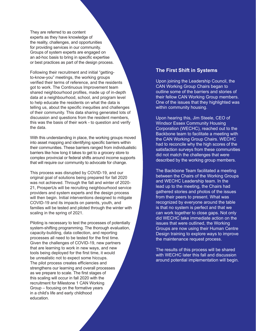They are referred to as content experts as they have knowledge of the reality, challenges, and opportunities for providing services in our community. Groups of system experts are engaged on an ad-hoc basis to bring in specific expertise or best practices as part of the design process.

Following their recruitment and initial "gettingto-know-you" meetings, the working groups verified their terms of reference, and the residents got to work. The Continuous Improvement team shared neighbourhood profiles, made up of in-depth data at a neighbourhood, school, and program level to help educate the residents on what the data is telling us, about the specific inequities and challenges of their community. This data sharing generated lots of discussion and questions from the resident members, this was the basis of their work - to question and verify the data.

With this understanding in place, the working groups moved into asset mapping and identifying specific barriers within their communities. These barriers ranged from individualistic barriers like how long it takes to get to a grocery store to complex provincial or federal shifts around income supports that will require our community to advocate for change.

This process was disrupted by COVID-19, and our original goal of solutions being prepared for fall 2020 was not achieved. Through the fall and winter of 2020- 21, ProsperUs will be recruiting neighbourhood service providers and system experts and the design process will then begin. Initial interventions designed to mitigate COVID-19 and its impacts on parents, youth, and families will be tested and piloted through the winter with scaling in the spring of 2021.

Piloting is necessary to test the processes of potentially system-shifting programming. The thorough evaluation, capacity-building, data collection, and reporting processes all need to be tested for the first time. Given the challenges of COVID-19, new partners that are learning to work in new ways, and new tools being deployed for the first time, it would be unrealistic not to expect some hiccups. The pilot process creates efficiencies and strengthens our learning and overall processes as we prepare to scale. The first stages of this scaling will occur in fall 2020 with the recruitment for Milestone 1 CAN Working Group – focusing on the formative years in a child's life and early childhood education.

#### **The First Shift in Systems**

Upon joining the Leadership Council, the CAN Working Group Chairs began to outline some of the barriers and stories of their fellow CAN Working Group members. One of the issues that they highlighted was within community housing.

Upon hearing this, Jim Steele, CEO of Windsor Essex Community Housing Corporation (WECHC), reached out to the Backbone team to facilitate a meeting with the CAN Working Group Chairs. WECHC had to reconcile why the high scores of the satisfaction surveys from these communities did not match the challenges that were described by the working group members.

The Backbone Team facilitated a meeting between the Chairs of the Working Groups and WECHC Leadership team. In the lead up to the meeting, the Chairs had gathered stories and photos of the issues from their peers to present. What was recognized by everyone around the table is that no system is perfect and that we can work together to close gaps. Not only did WECHC take immediate action on the issues that were outlined, the Working Groups are now using their Human Centre Design training to explore ways to improve the maintenance request process.

The results of this process will be shared with WECHC later this fall and discussion around potential implementation will begin.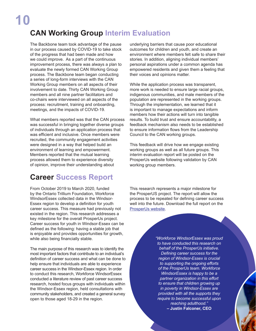# <span id="page-9-0"></span>**CAN Working Group Interim Evaluation**

The Backbone team took advantage of the pause in our process caused by COVID-19 to take stock of the progress that had been made and how we could improve. As a part of the continuous improvement process, there was always a plan to evaluate the newly formed CAN Working Group process. The Backbone team began conducting a series of long-form interviews with the CAN Working Group members on all aspects of their involvement to date. Thirty CAN Working Group members and all nine partner facilitators and co-chairs were interviewed on all aspects of the process: recruitment, training and onboarding, meetings, and the impacts of COVID-19.

What members reported was that the CAN process was successful in bringing together diverse groups of individuals through an application process that was efficient and inclusive. Once members were recruited, the community engagement activities were designed in a way that helped build an environment of learning and empowerment. Members reported that the mutual learning process allowed them to experience diversity of opinion, improve their understanding about

# **Career Success Report**

From October 2019 to March 2020, funded by the Ontario Trillium Foundation, Workforce WindsorEssex collected data in the Windsor-Essex region to develop a definition for youth career success. This measure had previously not existed in the region. This research addresses a key milestone for the overall ProsperUs project. Career success for youth in Windsor-Essex can be defined as the following: having a stable job that is enjoyable and provides opportunities for growth, while also being financially stable.

The main purpose of this research was to identify the most important factors that contribute to an individual's definition of career success and what can be done to help ensure that individuals are able to experience career success in the Windsor-Essex region. In order to conduct this research, Workforce WindsorEssex conducted a literature review of past career success research, hosted focus groups with individuals within the Windsor-Essex region, held consultations with community stakeholders, and created a general survey open to those aged 18-29 in the region.

underlying barriers that cause poor educational outcomes for children and youth, and create an environment where members felt safe to share their stories. In addition, aligning individual members' personal aspirations under a common agenda has empowered residents and given them a feeling that their voices and opinions matter.

While the application process was transparent, more work is needed to ensure large racial groups, indigenous communities, and male members of the population are represented in the working groups. Through the implementation, we learned that it is important to manage expectations and inform members how their actions will turn into tangible results. To build trust and ensure accountability, a feedback mechanism also needs to be established to ensure information flows from the Leadership Council to the CAN working groups.

This feedback will drive how we engage existing working groups as well as all future groups. This interim evaluation report will be posted on the ProsperUs website following validation by CAN working group members.

This research represents a major milestone for the ProsperUS project. The report will allow the process to be repeated for defining career success well into the future. Download the full report on the [ProsperUs website](https://weunlockpotential.com/careersuccess/).

> *"Workforce WindsorEssex was proud to have conducted this research on behalf of the ProsperUs initiative. Defining career success for the region of Windsor-Essex is crucial to supporting the ongoing efforts of the ProsperUs team. Workforce WindsorEssex is happy to be a partner organization in this effort to ensure that children growing up in poverty in Windsor-Essex are provided with all the supports they require to become successful upon reaching adulthood."* **– Justin Falconer, CEO**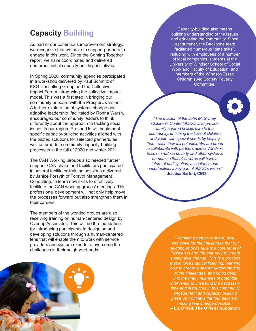# <span id="page-10-0"></span>**Capacity Building**

As part of our continuous improvement strategy, we recognize that we have to support partners to engage in this work. Since the Coming Together report, we have coordinated and delivered numerous initial capacity-building initiatives.

In Spring 2020, community agencies participated in a workshop delivered by Paul Schmitz of FSG Consulting Group and the Collective Impact Forum introducing the collective impact model. This was a first step in bringing our community onboard with the ProsperUs vision. A further exploration of systems change and adaptive leadership, facilitated by Ronna Warsh, encouraged our community leaders to think differently about the approach to tackling social issues in our region. ProsperUs will implement specific capacity-building activities aligned with the piloted solutions for selected partners, as well as broader community capacity-building processes in the fall of 2020 and winter 2021.

The CAN Working Groups also needed further support. CAN chairs and facilitators participated in several facilitator-training sessions delivered by Janice Forsyth of Forsyth Management Consulting, to learn new skills to effectively facilitate the CAN working groups' meetings. This professional development will not only help move the processes forward but also strengthen them in their careers.

The members of the working groups are also receiving training on human-centered design by Overlap Associates. This will be the foundation for introducing participants to designing and developing solutions through a human-centered lens that will enable them to work with service providers and system experts to overcome the challenges in their neighbourhoods.



**11** Capacity-building also means building understanding of the issues and educating the community. Since last summer, the Backbone team facilitated numerous "data talks", including with employees of a number of local companies, students at the University of Windsor School of Social Work and Faculty of Education, and members of the Windsor-Essex Children's Aid Society Poverty Committee.

*"The mission of the John McGivney Children's Centre (JMCC) is to provide family-centred holistic care to the community, enriching the lives of children and youth with special needs by helping them reach their full potential. We are proud to collaborate with partners across Windsor-Essex to reduce poverty and other systemic barriers so that all children will have a future of participation, acceptance and opportunities, a key part of JMCC's vision."* **– Jessica Sartori, CEO**

> *"Working together to share, own, and solve for the challenges that our neighbourhoods face is a core tenet of ProsperUs and the only way to create sustainable change. This is a process that involves radical listening, learning how to create a shared understanding of the challenges, and going deep into the many nuances of potential interventions. Investing the necessary time and resources in this community engagement and capacity building piece up front lays the foundation for making real change possible."*  **– Liz O'Neil, The O'Neil Foundation**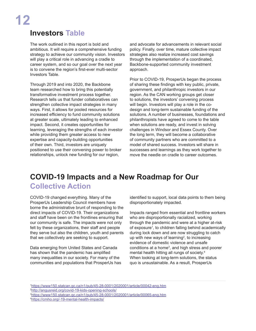# <span id="page-11-0"></span>**12**

# **Investors Table**

The work outlined in this report is bold and ambitious. It will require a comprehensive funding strategy to achieve our community vision. Investors will play a critical role in advancing a cradle to career system, and so our goal over the next year is to convene the region's first-ever multi-sector Investors Table.

Through 2019 and into 2020, the Backbone team researched how to bring this potentially transformative investment process together. Research tells us that funder collaboratives can strengthen collective impact strategies in many ways. First, it allows for pooled resources for increased efficiency to fund community solutions at greater scale, ultimately leading to enhanced impact. Second, it creates opportunities for learning, leveraging the strengths of each investor while providing them greater access to new expertise and capacity-building opportunities of their own. Third, investors are uniquely positioned to use their convening power to broker relationships, unlock new funding for our region,

and advocate for advancements in relevant social policy. Finally, over time, mature collective impact strategies also realize increased cost savings through the implementation of a coordinated, Backbone-supported community investment approach.

Prior to COVID-19, ProsperUs began the process of sharing these findings with key public, private, government, and philanthropic investors in our region. As the CAN working groups get closer to solutions, the investors' convening process will begin. Investors will play a role in the codesign and long-term sustainable funding of the solutions. A number of businesses, foundations and philanthropists have agreed to come to the table when solutions are ready, and invest in solving challenges in Windsor and Essex County. Over the long term, they will become a collaborative of community partners who are committed to a model of shared success. Investors will share in successes and learnings as they work together to move the needle on cradle to career outcomes.

# **COVID-19 Impacts and a New Roadmap for Our Collective Action**

COVID-19 changed everything. Many of the ProsperUs Leadership Council members have borne the administrative brunt of responding to the direct impacts of COVID-19. Their organizations and staff have been on the frontlines ensuring that our community is safe. The impacts were not only felt by these organizations, their staff and people they serve but also the children, youth and parents that we collectively are seeking to support.

Data emerging from United States and Canada has shown that the pandemic has amplified many inequalities in our society. For many of the communities and populations that ProsperUs has identified to support, local data points to them being disproportionately impacted.

Impacts ranged from essential and frontline workers who are disproportionally racialized, working through the pandemic and were at a higher at-risk of exposure<sup>1</sup>, to children falling behind academically during lock down and are now struggling to catch up with new ways of learning<sup>2</sup>, to increasing evidence of domestic violence and unsafe  $conditions$  at a home<sup>3</sup>, and high stress and poorer mental health hitting all rungs of society.4 When looking at long-term solutions, the status quo is unsustainable. As a result, ProsperUs

 <https://www150.statcan.gc.ca/n1/pub/45-28-0001/2020001/article/00042-eng.htm> [http://angusreid.org/covid-19-kids-opening-schools/](http://angusreid.org/covid19-kids-opening-schools/) <https://www150.statcan.gc.ca/n1/pub/45-28-0001/2020001/article/00065-eng.htm> [https://cmho.org/-19-mental-health-impacts/](https://cmho.org/covid-19-mental-health-impacts/)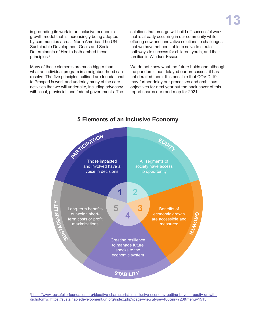is grounding its work in an inclusive economic growth model that is increasingly being adopted by communities across North America. The UN Sustainable Development Goals and Social Determinants of Health both embed these principles.5

Many of these elements are much bigger than what an individual program in a neighbourhood can resolve. The five principles outlined are foundational to ProsperUs work and underlay many of the core activities that we will undertake, including advocacy with local, provincial, and federal governments. The

solutions that emerge will build off successful work that is already occurring in our community while offering new and innovative solutions to challenges that we have not been able to solve to create pathways to success for children, youth, and their families in Windsor-Essex.

We do not know what the future holds and although the pandemic has delayed our processes, it has not derailed them. It is possible that COVID-19 may further delay our processes and ambitious objectives for next year but the back cover of this report shares our road map for 2021.



#### **5 Elements of an Inclusive Economy**

5 [https://www.rockefellerfoundation.org/blog/five-characteristics-inclusive-economy-getting-beyond-equity-growth](https://www.rockefellerfoundation.org/blog/five-characteristics-inclusive-economy-getting-beyond-equ)[dichotomy/;](https://www.rockefellerfoundation.org/blog/five-characteristics-inclusive-economy-getting-beyond-equ) <https://sustainabledevelopment.un.org/index.php?page=view&type=400&nr=723&menu=1515>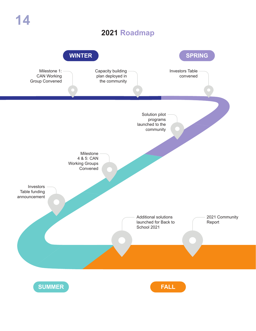## **2021 Roadmap**

<span id="page-13-0"></span>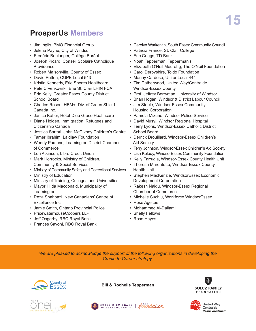# <span id="page-14-0"></span>**ProsperUs Members**

- Jim Inglis, BMO Financial Group
- Jelena Payne, City of Windsor
- Frédéric Boulanger, Collège Boréal
- Joseph Picard, Conseil Scolaire Catholique Providence
- Robert Maisonville, County of Essex
- David Petten, CUPE Local 543
- Kristin Kennedy, Erie Shores Healthcare
- Pete Crvenkovski, Erie St. Clair LHIN FCA
- Erin Kelly, Greater Essex County District School Board
- Charles Rosen, HBM+, Div. of Green Shield Canada Inc.
- Janice Kaffer, Hôtel-Dieu Grace Healthcare
- Diane Holden, Immigration, Refugees and Citizenship Canada
- Jessica Sartori, John McGivney Children's Centre
- Tamer Ibrahim, Laidlaw Foundation
- Wendy Parsons, Leamington District Chamber of Commerce
- Lori Atkinson, Libro Credit Union
- Mark Horrocks, Ministry of Children, Community & Social Services
- Ministry of Community Safety and Correctional Services
- Ministry of Education
- Ministry of Training, Colleges and Universities
- Mayor Hilda Macdonald, Municipality of **Leamington**
- Reza Shahbazi, New Canadians' Centre of Excellence Inc.
- Jamie Smith, Ontario Provincial Police
- PricewaterhouseCoopers LLP
- Jeff Osgarby, RBC Royal Bank
- Frances Savoni, RBC Royal Bank
- Carolyn Warkentin, South Essex Community Council
- Patricia France, St. Clair College
- Eric Griggs, TD Bank
- Noah Tepperman, Tepperman's
- Elizabeth O'Neil Meurehg, The O'Neil Foundation
- Carol Derbyshire, Toldo Foundation
- Manny Cardoso, Unifor Local 444
- Tim Catherwood, United Way/Centraide Windsor-Essex County
- Prof. Jeffrey Berryman, University of Windsor
- Brian Hogan, Windsor & District Labour Council
- Jim Steele, Windsor Essex Community Housing Corporation
- Pamela Mizuno, Windsor Police Service
- David Musyj, Windsor Regional Hospital
- Terry Lyons, Windsor-Essex Catholic District School Board
- Derrick Drouillard, Windsor-Essex Children's Aid Society
- Terry Johnson, Windsor-Essex Children's Aid Society
- Lisa Kolody, WindsorEssex Community Foundation
- Kelly Farrugia, Windsor-Essex County Health Unit
- Theresa Marentette, Windsor-Essex County Health Unit
- Stephen MacKenzie, WindsorEssex Economic Development Corporation
- Rakesh Naidu, Windsor-Essex Regional Chamber of Commerce
- Michelle Suchiu, Workforce WindsorEssex
- Rose Ageitue
- Mohammed Al-Dailami
- Shelly Fellows
- Rose Hayes

*We are pleased to acknowledge the support of the following organizations in developing the Cradle to Career strategy:*





**Bill & Rochelle Tepperman**

HÔTEL-DIEU GRACE | CHOGH COLLOP